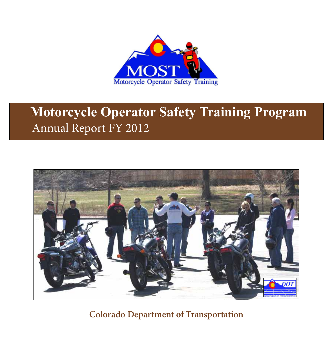

# **Motorcycle Operator Safety Training Program** Annual Report FY 2012



**Colorado Department of Transportation**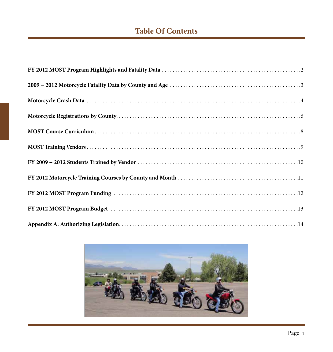## **Table Of Contents**

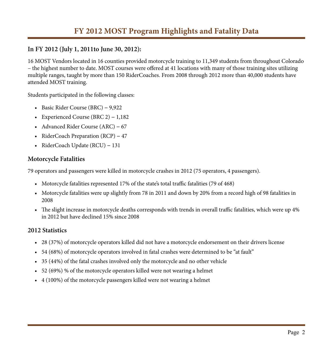#### **In FY 2012 (July 1, 2011to June 30, 2012):**

16 MOST Vendors located in 16 counties provided motorcycle training to 11,349 students from throughout Colorado – the highest number to date. MOST courses were offered at 41 locations with many of those training sites utilizing multiple ranges, taught by more than 150 RiderCoaches. From 2008 through 2012 more than 40,000 students have attended MOST training.

Students participated in the following classes:

- • Basic Rider Course (BRC) **−** 9,922
- • Experienced Course (BRC 2) **−** 1,182
- • Advanced Rider Course (ARC) **−** 67
- • RiderCoach Preparation (RCP) **−** 47
- • RiderCoach Update (RCU) **−** 131

#### **Motorcycle Fatalities**

79 operators and passengers were killed in motorcycle crashes in 2012 (75 operators, 4 passengers).

- • Motorcycle fatalities represented 17% of the state's total traffic fatalities (79 of 468)
- • Motorcycle fatalities were up slightly from 78 in 2011 and down by 20% from a record high of 98 fatalities in 2008
- • The slight increase in motorcycle deaths corresponds with trends in overall traffic fatalities, which were up 4% in 2012 but have declined 15% since 2008

#### **2012 Statistics**

- • 28 (37%) of motorcycle operators killed did not have a motorcycle endorsement on their drivers license
- 54 (68%) of motorcycle operators involved in fatal crashes were determined to be "at fault"
- 35 (44%) of the fatal crashes involved only the motorcycle and no other vehicle
- 52 (69%) % of the motorcycle operators killed were not wearing a helmet
- $4(100\%)$  of the motorcycle passengers killed were not wearing a helmet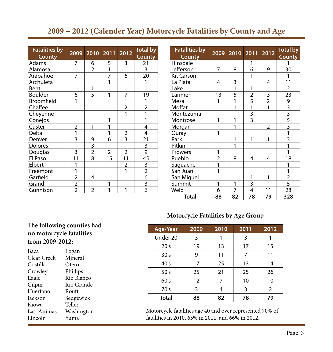### **2009 − 2012 (Calender Year) Motorcycle Fatalities by County and Age**

| <b>Fatalities by</b><br><b>County</b> | 2009           | 2010 2011      |                | 2012           | <b>Total by</b><br><b>County</b> |
|---------------------------------------|----------------|----------------|----------------|----------------|----------------------------------|
| Adams                                 | 7              | 6              | 5              | 3              | 21                               |
| Alamosa                               |                | $\overline{2}$ | 1              |                | $\overline{3}$                   |
| Arapahoe                              | 7              |                | 7              | 6              | 20                               |
| Archuleta                             |                |                | 1              |                | 1                                |
| Bent                                  |                | 1              |                |                | 1                                |
| <b>Boulder</b>                        | 6              | 5              | 1              | 7              | 19                               |
| Broomfield                            | 1              |                |                |                | 1                                |
| Chaffee                               |                |                |                | $\overline{2}$ | $\overline{2}$                   |
| Cheyenne                              |                |                |                | 1              | 1                                |
| Conejos                               |                |                | 1              |                | 1                                |
| Custer                                | $\overline{2}$ | 1              | 1              |                | 4                                |
| Delta                                 | 1              |                | 1              | $\overline{2}$ | 4                                |
| Denver                                | 3              | 9              | 6              | $\overline{3}$ | 21                               |
| <b>Dolores</b>                        |                | $\overline{3}$ |                |                | $\overline{\overline{3}}$        |
| Douglas                               | 3              | $\overline{2}$ | $\overline{2}$ | $\overline{2}$ | $\overline{9}$                   |
| El Paso                               | 11             | $\overline{s}$ | 15             | 11             | 45                               |
| Elbert                                |                |                |                | $\overline{2}$ |                                  |
| Freemont                              |                |                |                | 1              | $\frac{3}{2}$                    |
| Garfield                              | $\overline{2}$ | 4              |                |                | $\overline{6}$                   |
| Grand                                 | $\frac{2}{2}$  |                | 1              |                | $\overline{3}$                   |
| Gunnison                              |                | $\overline{2}$ | 1              | 1              | 6                                |

| <b>Fatalities by</b><br><b>County</b> | 2009           | 2010         | 2011                                      | 2012           | <b>Total by</b><br><b>County</b>          |
|---------------------------------------|----------------|--------------|-------------------------------------------|----------------|-------------------------------------------|
| Hinsdale                              |                |              | 1                                         |                | 1                                         |
| Jefferson                             | 7              | 8            | 6                                         | 9              | 30                                        |
| <b>Kit Carson</b>                     |                |              | 1                                         |                | 1                                         |
| La Plata                              | 4              | 3            |                                           | 4              | 11                                        |
| Lake                                  |                | $\mathbf{1}$ | 1                                         |                | $\overline{2}$                            |
| Larimer                               | 13             | 5            |                                           |                | 23                                        |
| Mesa                                  | 1              | 1            |                                           |                |                                           |
| Moffat                                |                | 1            | $\frac{2}{5}$ $\frac{1}{3}$ $\frac{3}{3}$ | $\frac{3}{2}$  | $\frac{9}{3}$ $\frac{3}{5}$ $\frac{5}{3}$ |
| Montezuma                             |                |              |                                           |                |                                           |
| Montrose                              | 1              | 1            |                                           |                |                                           |
| Morgan                                |                |              |                                           | $\overline{2}$ |                                           |
| Ouray                                 | 1              |              |                                           |                | $\overline{1}$                            |
| Park                                  |                | 1            | 1                                         | 1              | $\overline{3}$                            |
| Pitkin                                |                | 1            |                                           |                | $\mathbf{1}$                              |
| Prowers                               | 1              |              |                                           |                | $\mathbf{1}$                              |
| Pueblo                                | $\overline{2}$ | 8            | 4                                         | 4              | 18                                        |
| Saguache                              | 1              |              |                                           |                | 1                                         |
| San Juan                              | 1              |              |                                           |                | 1                                         |
| San Miguel                            |                |              | 1                                         | 1              | $\overline{2}$                            |
| Summit                                | 1              | 1            | 3                                         |                | $\overline{5}$                            |
| Weld                                  | 6              | 7            | 4                                         | 11             | 28                                        |
| Total                                 | 88             | 82           | 78                                        | 79             | 328                                       |

#### **Motorcycle Fatalities by Age Group**

#### **The following counties had no motorcycle fatalities from 2009-2012:**

| Baca        | Logan      |  |  |  |  |
|-------------|------------|--|--|--|--|
| Clear Creek | Mineral    |  |  |  |  |
| Costilla    | Otero      |  |  |  |  |
| Crowley     | Phillips   |  |  |  |  |
| Eagle       | Rio Blanco |  |  |  |  |
| Gilpin      | Rio Grande |  |  |  |  |
| Huerfano    | Routt      |  |  |  |  |
| Jackson     | Sedgewick  |  |  |  |  |
| Kiowa       | Teller     |  |  |  |  |
| Las Animas  | Washington |  |  |  |  |
| Lincoln     | Yuma       |  |  |  |  |
|             |            |  |  |  |  |

| <b>Age/Year</b> | 2009 | 2010 | 2011 | 2012           |
|-----------------|------|------|------|----------------|
| Under 20        | 3    | 1    | 3    |                |
| 20's            | 19   | 13   | 17   | 15             |
| 30's            | 9    | 11   | 7    | 11             |
| 40's            | 17   | 25   | 13   | 14             |
| 50's            | 25   | 21   | 25   | 26             |
| 60's            | 12   | 7    | 10   | 10             |
| 70's            | 3    | 4    | 3    | $\overline{2}$ |
| <b>Total</b>    | 88   | 82   | 78   | 79             |

Motorcycle fatalities age 40 and over represented 70% of fatalities in 2010, 65% in 2011, and 66% in 2012.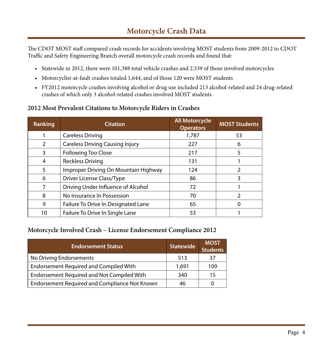## **Motorcycle Crash Data**

The CDOT MOST staff compared crash records for accidents involving MOST students from 2009-2012 to CDOT Traffic and Safety Engineering Branch overall motorcycle crash records and found that:

- Statewide in 2012, there were 101,388 total vehicle crashes and 2,539 of those involved motorcycles
- Motorcyclist-at-fault crashes totaled 1,644, and of those 120 were MOST students
- • FY2012 motorcycle crashes involving alcohol or drug use included 213 alcohol-related and 24 drug-related crashes of which only 3 alcohol-related crashes involved MOST students

#### **2012 Most Prevalent Citations to Motorcycle Riders in Crashes**

| Ranking        | <b>Citation</b>                        | <b>All Motorcycle</b><br><b>Operators</b> | <b>MOST Students</b> |
|----------------|----------------------------------------|-------------------------------------------|----------------------|
|                | <b>Careless Driving</b>                | 1,787                                     | 53                   |
| $\overline{2}$ | <b>Careless Driving Causing Injury</b> | 227                                       | 6                    |
| 3              | <b>Following Too Close</b>             | 217                                       | 5                    |
| 4              | <b>Reckless Driving</b>                | 131                                       |                      |
| 5              | Improper Driving On Mountain Highway   | 124                                       | 2                    |
| 6              | <b>Driver License Class/Type</b>       | 86                                        | 3                    |
|                | Driving Under Influence of Alcohol     | 72                                        |                      |
| 8              | No Insurance In Possession             | 70                                        | າ                    |
| 9              | Failure To Drive In Designated Lane    | 65                                        |                      |
| 10             | Failure To Drive In Single Lane        | 53                                        |                      |

#### **Motorcycle Involved Crash – License Endorsement Compliance 2012**

| <b>Endorsement Status</b>                     | <b>Statewide</b> | <b>MOST</b><br><b>Students</b> |
|-----------------------------------------------|------------------|--------------------------------|
| No Driving Endorsements                       | 513              | 37                             |
| <b>Endorsement Required and Compiled With</b> | 1,691            | 109                            |
| Endorsement Required and Not Compiled With    | 340              | 15                             |
| Endorsement Required and Compliance Not Known | 46               |                                |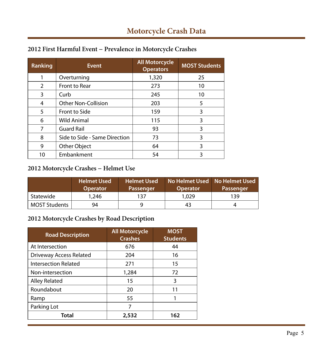| Ranking        | <b>Event</b>                  | <b>All Motorcycle</b><br><b>Operators</b> | <b>MOST Students</b> |
|----------------|-------------------------------|-------------------------------------------|----------------------|
|                | Overturning                   | 1,320                                     | 25                   |
| $\overline{2}$ | Front to Rear                 | 273                                       | 10                   |
| 3              | Curb                          | 245                                       | 10                   |
| 4              | <b>Other Non-Collision</b>    | 203                                       | 5                    |
| 5              | Front to Side                 | 159                                       | 3                    |
| 6              | <b>Wild Animal</b>            | 115                                       | 3                    |
| 7              | <b>Guard Rail</b>             | 93                                        | 3                    |
| 8              | Side to Side - Same Direction | 73                                        | 3                    |
| 9              | Other Object                  | 64                                        | 3                    |
| 10             | Embankment                    | 54                                        | 3                    |

### **2012 First Harmful Event − Prevalence in Motorcycle Crashes**

#### **2012 Motorcycle Crashes − Helmet Use**

|                      | <b>Helmet Used</b><br><b>Operator</b> | 'Helmet Used<br><b>Passenger</b> | No Helmet Used No Helmet Used<br><b>Operator</b> | Passenger |
|----------------------|---------------------------------------|----------------------------------|--------------------------------------------------|-----------|
| Statewide            | 1,246                                 | 137                              | 1,029                                            | 139       |
| <b>MOST Students</b> | 94                                    |                                  | 43                                               |           |

#### **2012 Motorcycle Crashes by Road Description**

| <b>Road Description</b>        | <b>All Motorcycle</b><br><b>Crashes</b> | <b>MOST</b><br><b>Students</b> |
|--------------------------------|-----------------------------------------|--------------------------------|
| At Intersection                | 676                                     | 44                             |
| <b>Driveway Access Related</b> | 204                                     | 16                             |
| <b>Intersection Related</b>    | 271                                     | 15                             |
| Non-intersection               | 1,284                                   | 72                             |
| <b>Alley Related</b>           | 15                                      | 3                              |
| Roundabout                     | 20                                      | 11                             |
| Ramp                           | 55                                      |                                |
| Parking Lot                    | 7                                       |                                |
| Total                          | 2,532                                   | 162                            |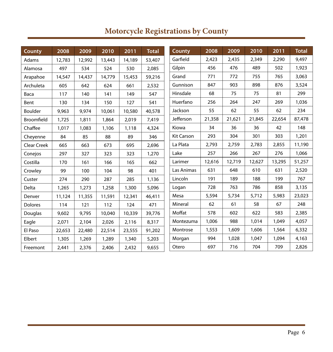| <b>County</b>      | 2008   | 2009   | 2010   | 2011   | <b>Total</b> | County            | 2008   | 2009   | 2010   | 2011   | <b>Total</b> |
|--------------------|--------|--------|--------|--------|--------------|-------------------|--------|--------|--------|--------|--------------|
| Adams              | 12,783 | 12,992 | 13,443 | 14,189 | 53,407       | Garfield          | 2,423  | 2,435  | 2,349  | 2,290  | 9,497        |
| Alamosa            | 497    | 534    | 524    | 530    | 2,085        | Gilpin            | 456    | 476    | 489    | 502    | 1,923        |
| Arapahoe           | 14,547 | 14,437 | 14,779 | 15,453 | 59,216       | Grand             | 771    | 772    | 755    | 765    | 3,063        |
| Archuleta          | 605    | 642    | 624    | 661    | 2,532        | Gunnison          | 847    | 903    | 898    | 876    | 3,524        |
| Baca               | 117    | 140    | 141    | 149    | 547          | Hinsdale          | 68     | 75     | 75     | 81     | 299          |
| Bent               | 130    | 134    | 150    | 127    | 541          | Huerfano          | 256    | 264    | 247    | 269    | 1,036        |
| Boulder            | 9,963  | 9,974  | 10,061 | 10,580 | 40,578       | Jackson           | 55     | 62     | 55     | 62     | 234          |
| Broomfield         | 1,725  | 1,811  | 1,864  | 2,019  | 7,419        | Jefferson         | 21,358 | 21,621 | 21,845 | 22,654 | 87,478       |
| Chaffee            | 1,017  | 1,083  | 1,106  | 1,118  | 4,324        | Kiowa             | 34     | 36     | 36     | 42     | 148          |
| Cheyenne           | 84     | 85     | 88     | 89     | 346          | <b>Kit Carson</b> | 293    | 304    | 301    | 303    | 1,201        |
| <b>Clear Creek</b> | 665    | 663    | 673    | 695    | 2,696        | La Plata          | 2,793  | 2,759  | 2,783  | 2,855  | 11,190       |
| Conejos            | 297    | 327    | 323    | 323    | 1,270        | Lake              | 257    | 266    | 267    | 276    | 1,066        |
| Costilla           | 170    | 161    | 166    | 165    | 662          | Larimer           | 12,616 | 12,719 | 12,627 | 13,295 | 51,257       |
| Crowley            | 99     | 100    | 104    | 98     | 401          | Las Animas        | 631    | 648    | 610    | 631    | 2,520        |
| Custer             | 274    | 290    | 287    | 285    | 1,136        | Lincoln           | 191    | 189    | 188    | 199    | 767          |
| Delta              | 1,265  | 1,273  | 1,258  | 1,300  | 5,096        | Logan             | 728    | 763    | 786    | 858    | 3,135        |
| Denver             | 11,124 | 11,355 | 11,591 | 12,341 | 46,411       | Mesa              | 5,594  | 5,734  | 5,712  | 5,983  | 23,023       |
| Dolores            | 114    | 121    | 112    | 124    | 471          | Mineral           | 62     | 61     | 58     | 67     | 248          |
| Douglas            | 9,602  | 9,795  | 10,040 | 10,339 | 39,776       | Moffat            | 578    | 602    | 622    | 583    | 2,385        |
| Eagle              | 2,071  | 2,104  | 2,026  | 2,116  | 8,317        | Montezuma         | 1,006  | 988    | 1,014  | 1,049  | 4,057        |
| El Paso            | 22,653 | 22,480 | 22,514 | 23,555 | 91,202       | Montrose          | 1,553  | 1,609  | 1,606  | 1,564  | 6,332        |
| Elbert             | 1,305  | 1,269  | 1,289  | 1,340  | 5,203        | Morgan            | 994    | 1,028  | 1.047  | 1,094  | 4,163        |
| Freemont           | 2,441  | 2,376  | 2,406  | 2,432  | 9,655        | Otero             | 697    | 716    | 704    | 709    | 2,826        |

## **Motorcycle Registrations by County**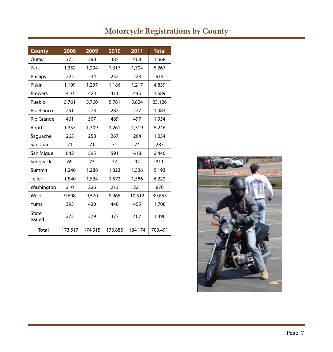| <b>County</b>   | 2008    | 2009    | 2010    | 2011    | <b>Total</b> |
|-----------------|---------|---------|---------|---------|--------------|
| Ouray           | 375     | 398     | 387     | 408     | 1,568        |
| Park            | 1,352   | 1,294   | 1,317   | 1,304   | 5,267        |
| Phillips        | 225     | 234     | 232     | 223     | 914          |
| Pitkin          | 1,199   | 1,237   | 1,186   | 1,217   | 4,839        |
| Prowers         | 410     | 423     | 411     | 445     | 1,689        |
| Pueblo          | 5,761   | 5,760   | 5,781   | 5,824   | 23,126       |
| Rio Blanco      | 251     | 273     | 282     | 277     | 1,083        |
| Rio Grande      | 461     | 507     | 489     | 497     | 1,954        |
| Routt           | 1,357   | 1,309   | 1,261   | 1,319   | 5,246        |
| Saguache        | 265     | 258     | 267     | 264     | 1,054        |
| San Juan        | 71      | 71      | 71      | 74      | 287          |
| San Miguel      | 642     | 595     | 591     | 618     | 2,446        |
| Sedgwick        | 69      | 73      | 77      | 92      | 311          |
| Summit          | 1,246   | 1,288   | 1,323   | 1,336   | 5,193        |
| Teller          | 1,540   | 1,524   | 1,572   | 1,586   | 6,222        |
| Washington      | 210     | 226     | 213     | 221     | 870          |
| Weld            | 9,608   | 9,570   | 9,965   | 10,512  | 39,655       |
| Yuma            | 393     | 420     | 440     | 455     | 1,708        |
| State<br>Issued | 273     | 279     | 377     | 467     | 1,396        |
| <b>Total</b>    | 173,517 | 174,915 | 176,885 | 184,174 | 709,491      |

## **Motorcycle Registrations by County**

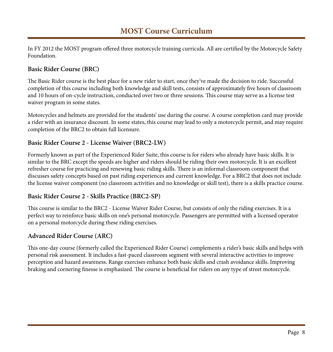### **MOST Course Curriculum**

In FY 2012 the MOST program offered three motorcycle training curricula. All are certified by the Motorcycle Safety Foundation.

#### **Basic Rider Course (BRC)**

The Basic Rider course is the best place for a new rider to start, once they've made the decision to ride. Successful completion of this course including both knowledge and skill tests, consists of approximately five hours of classroom and 10 hours of on-cycle instruction, conducted over two or three sessions. This course may serve as a license test waiver program in some states.

Motorcycles and helmets are provided for the students' use during the course. A course completion card may provide a rider with an insurance discount. In some states, this course may lead to only a motorcycle permit, and may require completion of the BRC2 to obtain full licensure.

#### **Basic Rider Course 2 - License Waiver (BRC2-LW)**

Formerly known as part of the Experienced Rider Suite, this course is for riders who already have basic skills. It is similar to the BRC except the speeds are higher and riders should be riding their own motorcycle. It is an excellent refresher course for practicing and renewing basic riding skills. There is an informal classroom component that discusses safety concepts based on past riding experiences and current knowledge. For a BRC2 that does not include the license waiver component (no classroom activities and no knowledge or skill test), there is a skills practice course.

#### **Basic Rider Course 2 - Skills Practice (BRC2-SP)**

This course is similar to the BRC2 - License Waiver Rider Course, but consists of only the riding exercises. It is a perfect way to reinforce basic skills on one's personal motorcycle. Passengers are permitted with a licensed operator on a personal motorcycle during these riding exercises.

#### **Advanced Rider Course (ARC)**

This one-day course (formerly called the Experienced Rider Course) complements a rider's basic skills and helps with personal risk assessment. It includes a fast-paced classroom segment with several interactive activities to improve perception and hazard awareness. Range exercises enhance both basic skills and crash avoidance skills. Improving braking and cornering finesse is emphasized. The course is beneficial for riders on any type of street motorcycle.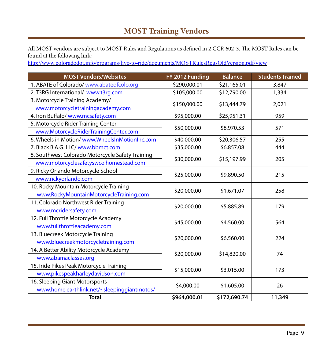## **MOST Training Vendors**

All MOST vendors are subject to MOST Rules and Regulations as defined in 2 CCR 602-3. The MOST Rules can be found at the following link:

<http://www.coloradodot.info/programs/live-to-ride/documents/MOSTRulesRegsOldVersion.pdf/view>

| <b>MOST Vendors/Websites</b>                     | FY 2012 Funding | <b>Balance</b> | <b>Students Trained</b> |  |
|--------------------------------------------------|-----------------|----------------|-------------------------|--|
| 1. ABATE of Colorado/ www.abateofcolo.org        | \$290,000.01    | \$21,165.01    | 3,847                   |  |
| 2. T3RG International/ www.t3rg.com              | \$105,000.00    | \$12,790.00    | 1,334                   |  |
| 3. Motorcycle Training Academy/                  |                 | \$13,444.79    |                         |  |
| www.motorcycletrainingacademy.com                | \$150,000.00    | 2,021          |                         |  |
| 4. Iron Buffalo/ www.mcsafety.com                | \$95,000.00     | \$25,951.31    | 959                     |  |
| 5. Motorcycle Rider Training Center              |                 |                | 571                     |  |
| www.MotorcycleRiderTrainingCenter.com            | \$50,000.00     | \$8,970.53     |                         |  |
| 6. Wheels in Motion/www.WheelsInMotionInc.com    | \$40,000.00     | \$20,306.57    | 255                     |  |
| 7. Black B.A.G. LLC/ www.bbmct.com               | \$35,000.00     | \$6,857.08     | 444                     |  |
| 8. Southwest Colorado Motorcycle Safety Training | \$30,000.00     | \$15,197.99    |                         |  |
| www.motorcyclesafetyswco.homestead.com           |                 |                | 205                     |  |
| 9. Ricky Orlando Motorcycle School               |                 |                | 215                     |  |
| www.rickyorlando.com                             | \$25,000.00     | \$9,890.50     |                         |  |
| 10. Rocky Mountain Motorcycle Training           | \$20,000.00     | \$1,671.07     | 258                     |  |
| www.RockyMountainMotorcycleTraining.com          |                 |                |                         |  |
| 11. Colorado Northwest Rider Training            | \$20,000.00     | \$5,885.89     | 179                     |  |
| www.mcridersafety.com                            |                 |                |                         |  |
| 12. Full Throttle Motorcycle Academy             |                 |                |                         |  |
| www.fullthrottleacademy.com                      | \$45,000.00     | \$4,560.00     | 564                     |  |
| 13. Bluecreek Motorcycle Training                |                 |                |                         |  |
| www.bluecreekmotorcycletraining.com              | \$20,000.00     | \$6,560.00     | 224                     |  |
| 14. A Better Ability Motorcycle Academy          |                 |                |                         |  |
| www.abamaclasses.org                             | \$20,000.00     | \$14,820.00    | 74                      |  |
| 15. Iride Pikes Peak Motorcycle Training         |                 |                |                         |  |
| www.pikespeakharleydavidson.com                  | \$15,000.00     | \$3,015.00     | 173                     |  |
| 16. Sleeping Giant Motorsports                   |                 |                |                         |  |
| www.home.earthlink.net/~sleepinggiantmotos/      | \$4,000.00      | \$1,605.00     | 26                      |  |
| <b>Total</b>                                     | \$964,000.01    | \$172,690.74   | 11,349                  |  |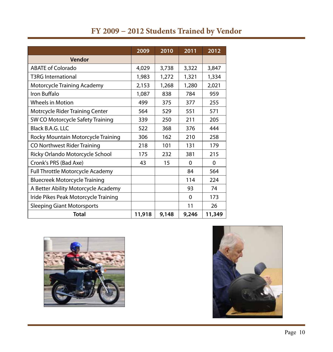## **FY 2009 − 2012 Students Trained by Vendor**

|                                         | 2009   | 2010  | 2011     | 2012        |
|-----------------------------------------|--------|-------|----------|-------------|
| Vendor                                  |        |       |          |             |
| ABATE of Colorado                       | 4,029  | 3,738 |          | 3,847       |
| <b>T3RG International</b>               | 1,983  | 1,272 | 1,321    | 1,334       |
| Motorcycle Training Academy             | 2,153  | 1,268 | 1,280    | 2,021       |
| Iron Buffalo                            | 1,087  | 838   | 784      | 959         |
| <b>Wheels in Motion</b>                 | 499    | 375   | 377      | 255         |
| <b>Motrcycle Rider Training Center</b>  | 564    | 529   | 551      | 571         |
| SW CO Motorcycle Safety Training        | 339    | 250   | 211      | 205         |
| Black B.A.G. LLC                        | 522    | 368   | 376      | 444         |
| Rocky Mountain Motorcycle Training      | 306    | 162   | 210      | 258         |
| CO Northwest Rider Training             | 218    | 101   | 131      | 179         |
| Ricky Orlando Motorcycle School         | 175    | 232   | 381      | 215         |
| Cronk's PRS (Bad Axe)                   | 43     | 15    | $\Omega$ | $\mathbf 0$ |
| <b>Full Throttle Motorcycle Academy</b> |        |       | 84       | 564         |
| <b>Bluecreek Motorcycle Training</b>    |        |       | 114      | 224         |
| A Better Ability Motorcycle Academy     |        |       | 93       | 74          |
| Iride Pikes Peak Motorcycle Training    |        |       | $\Omega$ | 173         |
| <b>Sleeping Giant Motorsports</b>       |        |       | 11       | 26          |
| Total                                   | 11,918 | 9,148 | 9,246    | 11,349      |



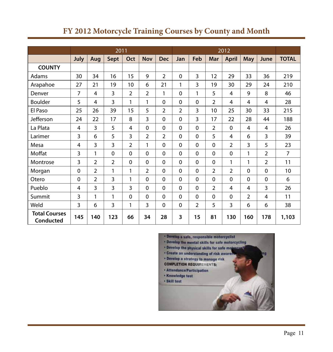|                                          | 2011           |                |                |                |                | 2012           |                |                |                |                |             |                |                 |
|------------------------------------------|----------------|----------------|----------------|----------------|----------------|----------------|----------------|----------------|----------------|----------------|-------------|----------------|-----------------|
|                                          | July           | Aug            | <b>Sept</b>    | Oct            | <b>Nov</b>     | <b>Dec</b>     | Jan            | Feb            | Mar            | <b>April</b>   | <b>May</b>  | June           | <b>TOTAL</b>    |
| <b>COUNTY</b>                            |                |                |                |                |                |                |                |                |                |                |             |                |                 |
| Adams                                    | 30             | 34             | 16             | 15             | 9              | $\overline{2}$ | 0              | 3              | 12             | 29             | 33          | 36             | 219             |
| Arapahoe                                 | 27             | 21             | 19             | 10             | 6              | 21             | 1              | 3              | 19             | 30             | 29          | 24             | 210             |
| Denver                                   | 7              | 4              | 3              | 2              | 2              | 1              | 0              | 1              | 5              | 4              | 9           | 8              | 46              |
| <b>Boulder</b>                           | 5              | 4              | 3              | 1              | 1              | 0              | 0              | $\mathbf 0$    | $\overline{2}$ | 4              | 4           | 4              | 28              |
| El Paso                                  | 25             | 26             | 39             | 15             | 5              | $\overline{2}$ | $\overline{2}$ | 3              | 10             | 25             | 30          | 33             | 215             |
| Jefferson                                | 24             | 22             | 17             | 8              | 3              | 0              | 0              | 3              | 17             | 22             | 28          | 44             | 188             |
| La Plata                                 | 4              | 3              | 5              | $\overline{4}$ | $\mathbf 0$    | 0              | 0              | $\mathbf 0$    | $\overline{2}$ | $\mathbf 0$    | 4           | 4              | 26              |
| Larimer                                  | 3              | 6              | 5              | 3              | 2              | $\overline{2}$ | 0              | $\mathbf 0$    | 5              | $\overline{4}$ | 6           | 3              | 39              |
| Mesa                                     | 4              | 3              | 3              | $\overline{2}$ | 1              | $\mathbf 0$    | 0              | $\mathbf 0$    | $\mathbf 0$    | $\overline{2}$ | 3           | 5              | 23              |
| Moffat                                   | 3              | 1              | 0              | $\mathbf 0$    | $\mathbf 0$    | $\mathbf 0$    | 0              | $\mathbf 0$    | $\mathbf 0$    | $\mathbf 0$    | 1           | $\overline{2}$ | $\overline{7}$  |
| Montrose                                 | 3              | $\overline{2}$ | $\overline{2}$ | $\mathbf 0$    | $\mathbf 0$    | $\overline{0}$ | 0              | $\mathbf 0$    | $\mathbf 0$    | 1              | 1           | $\overline{2}$ | 11              |
| Morgan                                   | $\mathbf 0$    | $\overline{2}$ | 1              | 1              | $\overline{2}$ | $\overline{0}$ | $\mathbf 0$    | $\mathbf 0$    | $\overline{2}$ | $\overline{2}$ | $\mathbf 0$ | $\mathbf 0$    | 10 <sup>1</sup> |
| Otero                                    | $\overline{0}$ | 2              | 3              | 1              | $\mathbf 0$    | 0              | 0              | $\mathbf 0$    | $\mathbf 0$    | $\mathbf 0$    | $\mathbf 0$ | $\mathbf 0$    | 6               |
| Pueblo                                   | $\overline{4}$ | 3              | 3              | 3              | $\mathbf 0$    | 0              | $\mathbf 0$    | $\mathbf 0$    | $\overline{2}$ | $\overline{4}$ | 4           | 3              | 26              |
| Summit                                   | 3              | 1              | 1              | $\mathbf 0$    | $\mathbf 0$    | 0              | 0              | $\mathbf 0$    | $\mathbf 0$    | $\mathbf 0$    | 2           | 4              | 11              |
| Weld                                     | 3              | 6              | 3              | 1              | 3              | $\overline{0}$ | 0              | $\overline{2}$ | 5              | 3              | 6           | 6              | 38              |
| <b>Total Courses</b><br><b>Conducted</b> | 145            | 140            | 123            | 66             | 34             | 28             | 3              | 15             | 81             | 130            | 160         | 178            | 1,103           |

## **FY 2012 Motorcycle Training Courses by County and Month**

· Develop a safe, responsible motorcyclist . Develop the mental skills for safe motorcycling . Develop the physical skills for safe motorcyst · Create an understanding of risk awaren mg . Develop a strategy to manage risk **COMPLETION REQUIREMENTS:** \* Attendance/Participation · Knowledge test · Skill test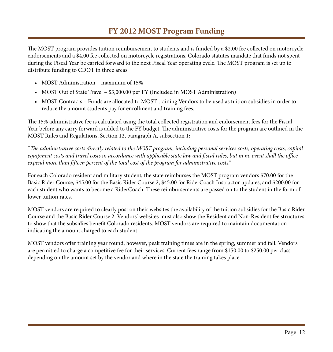### **FY 2012 MOST Program Funding**

The MOST program provides tuition reimbursement to students and is funded by a \$2.00 fee collected on motorcycle endorsements and a \$4.00 fee collected on motorcycle registrations. Colorado statutes mandate that funds not spent during the Fiscal Year be carried forward to the next Fiscal Year operating cycle. The MOST program is set up to distribute funding to CDOT in three areas:

- MOST Administration maximum of 15%
- MOST Out of State Travel \$3,000.00 per FY (Included in MOST Administration)
- • MOST Contracts Funds are allocated to MOST training Vendors to be used as tuition subsidies in order to reduce the amount students pay for enrollment and training fees.

The 15% administrative fee is calculated using the total collected registration and endorsement fees for the Fiscal Year before any carry forward is added to the FY budget. The administrative costs for the program are outlined in the MOST Rules and Regulations, Section 12, paragraph A, subsection 1:

*"The administrative costs directly related to the MOST program, including personal services costs, operating costs, capital equipment costs and travel costs in accordance with applicable state law and fiscal rules, but in no event shall the office expend more than fifteen percent of the total cost of the program for administrative costs."*

For each Colorado resident and military student, the state reimburses the MOST program vendors \$70.00 for the Basic Rider Course, \$45.00 for the Basic Rider Course 2, \$45.00 for RiderCoach Instructor updates, and \$200.00 for each student who wants to become a RiderCoach. These reimbursements are passed on to the student in the form of lower tuition rates.

MOST vendors are required to clearly post on their websites the availability of the tuition subsidies for the Basic Rider Course and the Basic Rider Course 2. Vendors' websites must also show the Resident and Non-Resident fee structures to show that the subsidies benefit Colorado residents. MOST vendors are required to maintain documentation indicating the amount charged to each student.

MOST vendors offer training year round; however, peak training times are in the spring, summer and fall. Vendors are permitted to charge a competitive fee for their services. Current fees range from \$150.00 to \$250.00 per class depending on the amount set by the vendor and where in the state the training takes place.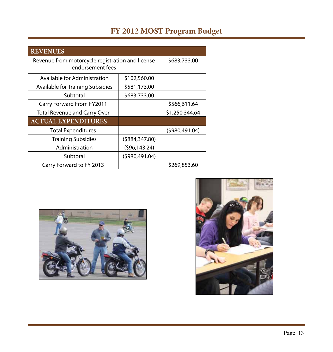## **FY 2012 MOST Program Budget**

| <b>REVENUES</b>                                                      |                  |                |  |  |  |  |
|----------------------------------------------------------------------|------------------|----------------|--|--|--|--|
| Revenue from motorcycle registration and license<br>endorsement fees | \$683,733.00     |                |  |  |  |  |
| Available for Administration                                         |                  |                |  |  |  |  |
| <b>Available for Training Subsidies</b>                              | \$581,173.00     |                |  |  |  |  |
| Subtotal                                                             | \$683,733.00     |                |  |  |  |  |
| <b>Carry Forward From FY2011</b>                                     |                  | \$566,611.64   |  |  |  |  |
| <b>Total Revenue and Carry Over</b>                                  | \$1,250,344.64   |                |  |  |  |  |
| <b>ACTUAL EXPENDITURES</b>                                           |                  |                |  |  |  |  |
| <b>Total Expenditures</b>                                            |                  | (5980, 491.04) |  |  |  |  |
| <b>Training Subsidies</b>                                            | ( \$884, 347.80) |                |  |  |  |  |
| Administration                                                       | (596, 143.24)    |                |  |  |  |  |
| Subtotal                                                             | (5980, 491.04)   |                |  |  |  |  |
| Carry Forward to FY 2013                                             |                  | \$269,853.60   |  |  |  |  |



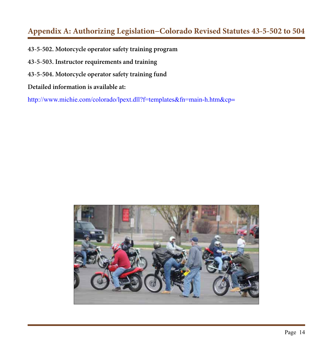### **Appendix A: Authorizing Legislation−Colorado Revised Statutes 43-5-502 to 504**

- **43-5-502. Motorcycle operator safety training program**
- **43-5-503. Instructor requirements and training**
- **43-5-504. Motorcycle operator safety training fund**
- **Detailed information is available at:**

<http://www.michie.com/colorado/lpext.dll?f=templates&fn=main-h.htm&cp>**=** 

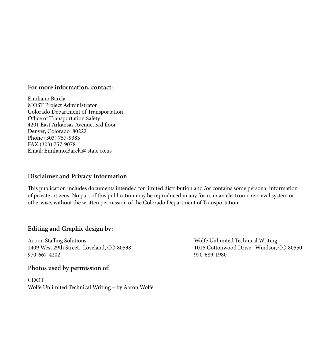#### **For more information, contact:**

Emiliano Barela MOST Project Administrator Colorado Department of Transportation Office of Transportation Safety 4201 East Arkansas Avenue, 3rd floor Denver, Colorado 80222 Phone (303) 757-9383 FAX (303) 757-9078 Email: Emiliano.Barela@.state.co.us

#### **Disclaimer and Privacy Information**

This publication includes documents intended for limited distribution and /or contains some personal information of private citizens. No part of this publication may be reproduced in any form, in an electronic retrieval system or otherwise, without the written permission of the Colorado Department of Transportation.

#### **Editing and Graphic design by:**

Action Staffing Solutions Wolfe Unlimited Technical Writing 970-667-4202 970-689-1980

#### **Photos used by permission of:**

CDOT Wolfe Unlimited Technical Writing – by Aaron Wolfe

1409 West 29th Street, Loveland, CO 80538 1015 Cottonwood Drive, Windsor, CO 80550